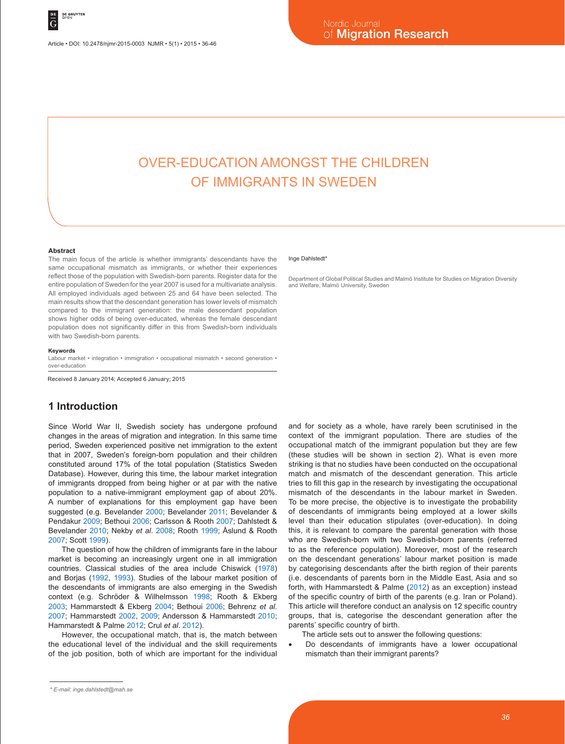Article • DOI: 10.2478/njmr-2015-0003 NJMR • 5(1) • 2015 • 36-46

# Over-education amongst the children of immigrants in Sweden

#### **Abstract**

The main focus of the article is whether immigrants' descendants have the same occupational mismatch as immigrants, or whether their experiences reflect those of the population with Swedish-born parents. Register data for the entire population of Sweden for the year 2007 is used for a multivariate analysis. All employed individuals aged between 25 and 64 have been selected. The main results show that the descendant generation has lower levels of mismatch compared to the immigrant generation: the male descendant population shows higher odds of being over-educated, whereas the female descendant population does not significantly differ in this from Swedish-born individuals with two Swedish-born parents.

#### **Keywords**

Labour market • integration • immigration • occupational mismatch • second generation • over-education

Received 8 January 2014; Accepted 6 January; 2015

### **1 Introduction**

Since World War II, Swedish society has undergone profound changes in the areas of migration and integration. In this same time period, Sweden experienced positive net immigration to the extent that in 2007, Sweden's foreign-born population and their children constituted around 17% of the total population (Statistics Sweden Database). However, during this time, the labour market integration of immigrants dropped from being higher or at par with the native population to a native-immigrant employment gap of about 20%. A number of explanations for this employment gap have been suggested (e.g. Bevelander 2000; Bevelander 2011; Bevelander & Pendakur 2009; Bethoui 2006; Carlsson & Rooth 2007; Dahlstedt & Bevelander 2010; Nekby *et al*. 2008; Rooth 1999; Åslund & Rooth 2007; Scott 1999).

The question of how the children of immigrants fare in the labour market is becoming an increasingly urgent one in all immigration countries. Classical studies of the area include Chiswick (1978) and Borjas (1992, 1993). Studies of the labour market position of the descendants of immigrants are also emerging in the Swedish context (e.g. Schröder & Wilhelmsson 1998; Rooth & Ekberg 2003; Hammarstedt & Ekberg 2004; Bethoui 2006; Behrenz *et al*. 2007; Hammarstedt 2002, 2009; Andersson & Hammarstedt 2010; Hammarstedt & Palme 2012; Crul *et al*. 2012).

However, the occupational match, that is, the match between the educational level of the individual and the skill requirements of the job position, both of which are important for the individual

#### Inge Dahlstedt\*

Department of Global Political Studies and Malmö Institute for Studies on Migration Diversity and Welfare, Malmö University, Sweden

and for society as a whole, have rarely been scrutinised in the context of the immigrant population. There are studies of the occupational match of the immigrant population but they are few (these studies will be shown in section 2). What is even more striking is that no studies have been conducted on the occupational match and mismatch of the descendant generation. This article tries to fill this gap in the research by investigating the occupational mismatch of the descendants in the labour market in Sweden. To be more precise, the objective is to investigate the probability of descendants of immigrants being employed at a lower skills level than their education stipulates (over-education). In doing this, it is relevant to compare the parental generation with those who are Swedish-born with two Swedish-born parents (referred to as the reference population). Moreover, most of the research on the descendant generations' labour market position is made by categorising descendants after the birth region of their parents (i.e. descendants of parents born in the Middle East, Asia and so forth, with Hammarstedt & Palme (2012) as an exception) instead of the specific country of birth of the parents (e.g. Iran or Poland). This article will therefore conduct an analysis on 12 specific country groups, that is, categorise the descendant generation after the parents' specific country of birth.

The article sets out to answer the following questions:

Do descendants of immigrants have a lower occupational mismatch than their immigrant parents?

*<sup>\*</sup> E-mail: inge.dahlstedt@mah.se*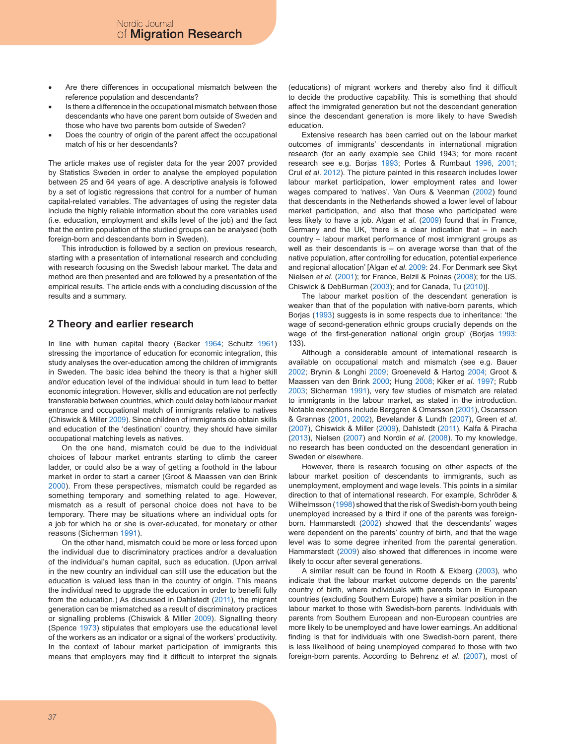- Are there differences in occupational mismatch between the reference population and descendants?
- Is there a difference in the occupational mismatch between those descendants who have one parent born outside of Sweden and those who have two parents born outside of Sweden?
- Does the country of origin of the parent affect the occupational match of his or her descendants?

The article makes use of register data for the year 2007 provided by Statistics Sweden in order to analyse the employed population between 25 and 64 years of age. A descriptive analysis is followed by a set of logistic regressions that control for a number of human capital-related variables. The advantages of using the register data include the highly reliable information about the core variables used (i.e. education, employment and skills level of the job) and the fact that the entire population of the studied groups can be analysed (both foreign-born and descendants born in Sweden).

This introduction is followed by a section on previous research, starting with a presentation of international research and concluding with research focusing on the Swedish labour market. The data and method are then presented and are followed by a presentation of the empirical results. The article ends with a concluding discussion of the results and a summary.

### **2 Theory and earlier research**

In line with human capital theory (Becker 1964; Schultz 1961) stressing the importance of education for economic integration, this study analyses the over-education among the children of immigrants in Sweden. The basic idea behind the theory is that a higher skill and/or education level of the individual should in turn lead to better economic integration. However, skills and education are not perfectly transferable between countries, which could delay both labour market entrance and occupational match of immigrants relative to natives (Chiswick & Miller 2009). Since children of immigrants do obtain skills and education of the 'destination' country, they should have similar occupational matching levels as natives.

On the one hand, mismatch could be due to the individual choices of labour market entrants starting to climb the career ladder, or could also be a way of getting a foothold in the labour market in order to start a career (Groot & Maassen van den Brink 2000). From these perspectives, mismatch could be regarded as something temporary and something related to age. However, mismatch as a result of personal choice does not have to be temporary. There may be situations where an individual opts for a job for which he or she is over-educated, for monetary or other reasons (Sicherman 1991).

On the other hand, mismatch could be more or less forced upon the individual due to discriminatory practices and/or a devaluation of the individual's human capital, such as education. (Upon arrival in the new country an individual can still use the education but the education is valued less than in the country of origin. This means the individual need to upgrade the education in order to benefit fully from the education.) As discussed in Dahlstedt (2011), the migrant generation can be mismatched as a result of discriminatory practices or signalling problems (Chiswick & Miller 2009). Signalling theory (Spence 1973) stipulates that employers use the educational level of the workers as an indicator or a signal of the workers' productivity. In the context of labour market participation of immigrants this means that employers may find it difficult to interpret the signals (educations) of migrant workers and thereby also find it difficult to decide the productive capability. This is something that should affect the immigrated generation but not the descendant generation since the descendant generation is more likely to have Swedish education.

Extensive research has been carried out on the labour market outcomes of immigrants' descendants in international migration research (for an early example see Child 1943; for more recent research see e.g. Borjas 1993; Portes & Rumbaut 1996, 2001; Crul *et al*. 2012). The picture painted in this research includes lower labour market participation, lower employment rates and lower wages compared to 'natives'. Van Ours & Veenman (2002) found that descendants in the Netherlands showed a lower level of labour market participation, and also that those who participated were less likely to have a job. Algan *et al*. (2009) found that in France, Germany and the UK, 'there is a clear indication that – in each country – labour market performance of most immigrant groups as well as their descendants is  $-$  on average worse than that of the native population, after controlling for education, potential experience and regional allocation' [Algan *et al*. 2009: 24. For Denmark see Skyt Nielsen *et al*. (2001); for France, Belzil & Poinas (2008); for the US, Chiswick & DebBurman (2003); and for Canada, Tu (2010)].

The labour market position of the descendant generation is weaker than that of the population with native-born parents, which Borjas (1993) suggests is in some respects due to inheritance: 'the wage of second-generation ethnic groups crucially depends on the wage of the first-generation national origin group' (Borjas 1993: 133).

Although a considerable amount of international research is available on occupational match and mismatch (see e.g. Bauer 2002; Brynin & Longhi 2009; Groeneveld & Hartog 2004; Groot & Maassen van den Brink 2000; Hung 2008; Kiker *et al*. 1997; Rubb 2003; Sicherman 1991), very few studies of mismatch are related to immigrants in the labour market, as stated in the introduction. Notable exceptions include Berggren & Omarsson (2001), Oscarsson & Grannas (2001, 2002), Bevelander & Lundh (2007), Green *et al*. (2007), Chiswick & Miller (2009), Dahlstedt (2011), Kalfa & Piracha (2013), Nielsen (2007) and Nordin *et al*. (2008). To my knowledge, no research has been conducted on the descendant generation in Sweden or elsewhere.

However, there is research focusing on other aspects of the labour market position of descendants to immigrants, such as unemployment, employment and wage levels. This points in a similar direction to that of international research. For example, Schröder & Wilhelmsson (1998) showed that the risk of Swedish-born youth being unemployed increased by a third if one of the parents was foreignborn. Hammarstedt (2002) showed that the descendants' wages were dependent on the parents' country of birth, and that the wage level was to some degree inherited from the parental generation. Hammarstedt (2009) also showed that differences in income were likely to occur after several generations.

A similar result can be found in Rooth & Ekberg (2003), who indicate that the labour market outcome depends on the parents' country of birth, where individuals with parents born in European countries (excluding Southern Europe) have a similar position in the labour market to those with Swedish-born parents. Individuals with parents from Southern European and non-European countries are more likely to be unemployed and have lower earnings. An additional finding is that for individuals with one Swedish-born parent, there is less likelihood of being unemployed compared to those with two foreign-born parents. According to Behrenz *et al*. (2007), most of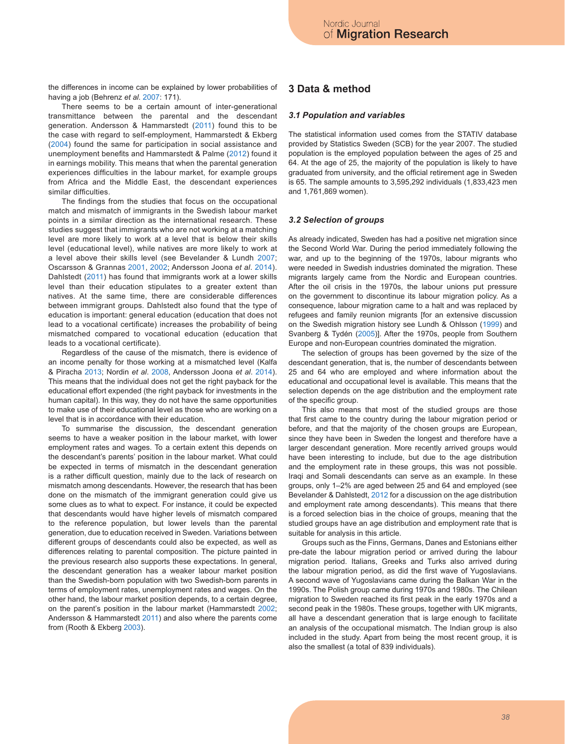the differences in income can be explained by lower probabilities of having a job (Behrenz *et al*. 2007: 171).

There seems to be a certain amount of inter-generational transmittance between the parental and the descendant generation. Andersson & Hammarstedt (2011) found this to be the case with regard to self-employment, Hammarstedt & Ekberg (2004) found the same for participation in social assistance and unemployment benefits and Hammarstedt & Palme (2012) found it in earnings mobility. This means that when the parental generation experiences difficulties in the labour market, for example groups from Africa and the Middle East, the descendant experiences similar difficulties.

The findings from the studies that focus on the occupational match and mismatch of immigrants in the Swedish labour market points in a similar direction as the international research. These studies suggest that immigrants who are not working at a matching level are more likely to work at a level that is below their skills level (educational level), while natives are more likely to work at a level above their skills level (see Bevelander & Lundh 2007; Oscarsson & Grannas 2001, 2002; Andersson Joona *et al*. 2014). Dahlstedt (2011) has found that immigrants work at a lower skills level than their education stipulates to a greater extent than natives. At the same time, there are considerable differences between immigrant groups. Dahlstedt also found that the type of education is important: general education (education that does not lead to a vocational certificate) increases the probability of being mismatched compared to vocational education (education that leads to a vocational certificate).

Regardless of the cause of the mismatch, there is evidence of an income penalty for those working at a mismatched level (Kalfa & Piracha 2013; Nordin *et al*. 2008, Andersson Joona *et al*. 2014). This means that the individual does not get the right payback for the educational effort expended (the right payback for investments in the human capital). In this way, they do not have the same opportunities to make use of their educational level as those who are working on a level that is in accordance with their education.

To summarise the discussion, the descendant generation seems to have a weaker position in the labour market, with lower employment rates and wages. To a certain extent this depends on the descendant's parents' position in the labour market. What could be expected in terms of mismatch in the descendant generation is a rather difficult question, mainly due to the lack of research on mismatch among descendants. However, the research that has been done on the mismatch of the immigrant generation could give us some clues as to what to expect. For instance, it could be expected that descendants would have higher levels of mismatch compared to the reference population, but lower levels than the parental generation, due to education received in Sweden. Variations between different groups of descendants could also be expected, as well as differences relating to parental composition. The picture painted in the previous research also supports these expectations. In general, the descendant generation has a weaker labour market position than the Swedish-born population with two Swedish-born parents in terms of employment rates, unemployment rates and wages. On the other hand, the labour market position depends, to a certain degree, on the parent's position in the labour market (Hammarstedt 2002; Andersson & Hammarstedt 2011) and also where the parents come from (Rooth & Ekberg 2003).

### **3 Data & method**

#### *3.1 Population and variables*

The statistical information used comes from the STATIV database provided by Statistics Sweden (SCB) for the year 2007. The studied population is the employed population between the ages of 25 and 64. At the age of 25, the majority of the population is likely to have graduated from university, and the official retirement age in Sweden is 65. The sample amounts to 3,595,292 individuals (1,833,423 men and 1,761,869 women).

#### *3.2 Selection of groups*

As already indicated, Sweden has had a positive net migration since the Second World War. During the period immediately following the war, and up to the beginning of the 1970s, labour migrants who were needed in Swedish industries dominated the migration. These migrants largely came from the Nordic and European countries. After the oil crisis in the 1970s, the labour unions put pressure on the government to discontinue its labour migration policy. As a consequence, labour migration came to a halt and was replaced by refugees and family reunion migrants [for an extensive discussion on the Swedish migration history see Lundh & Ohlsson (1999) and Svanberg & Tydén (2005)]. After the 1970s, people from Southern Europe and non-European countries dominated the migration.

The selection of groups has been governed by the size of the descendant generation, that is, the number of descendants between 25 and 64 who are employed and where information about the educational and occupational level is available. This means that the selection depends on the age distribution and the employment rate of the specific group.

This also means that most of the studied groups are those that first came to the country during the labour migration period or before, and that the majority of the chosen groups are European, since they have been in Sweden the longest and therefore have a larger descendant generation. More recently arrived groups would have been interesting to include, but due to the age distribution and the employment rate in these groups, this was not possible. Iraqi and Somali descendants can serve as an example. In these groups, only 1–2% are aged between 25 and 64 and employed (see Bevelander & Dahlstedt, 2012 for a discussion on the age distribution and employment rate among descendants). This means that there is a forced selection bias in the choice of groups, meaning that the studied groups have an age distribution and employment rate that is suitable for analysis in this article.

Groups such as the Finns, Germans, Danes and Estonians either pre-date the labour migration period or arrived during the labour migration period. Italians, Greeks and Turks also arrived during the labour migration period, as did the first wave of Yugoslavians. A second wave of Yugoslavians came during the Balkan War in the 1990s. The Polish group came during 1970s and 1980s. The Chilean migration to Sweden reached its first peak in the early 1970s and a second peak in the 1980s. These groups, together with UK migrants, all have a descendant generation that is large enough to facilitate an analysis of the occupational mismatch. The Indian group is also included in the study. Apart from being the most recent group, it is also the smallest (a total of 839 individuals).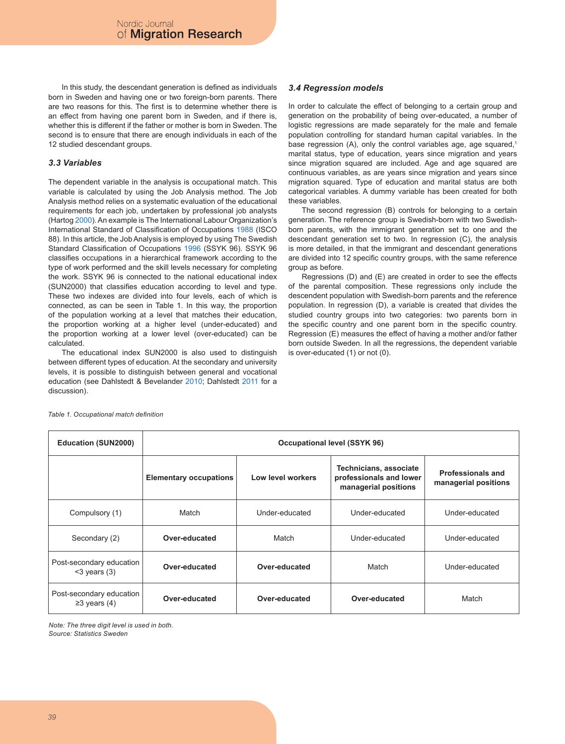In this study, the descendant generation is defined as individuals born in Sweden and having one or two foreign-born parents. There are two reasons for this. The first is to determine whether there is an effect from having one parent born in Sweden, and if there is, whether this is different if the father or mother is born in Sweden. The second is to ensure that there are enough individuals in each of the 12 studied descendant groups.

#### *3.3 Variables*

The dependent variable in the analysis is occupational match. This variable is calculated by using the Job Analysis method. The Job Analysis method relies on a systematic evaluation of the educational requirements for each job, undertaken by professional job analysts (Hartog 2000). An example is The International Labour Organization's International Standard of Classification of Occupations 1988 (ISCO 88). In this article, the Job Analysis is employed by using The Swedish Standard Classification of Occupations 1996 (SSYK 96). SSYK 96 classifies occupations in a hierarchical framework according to the type of work performed and the skill levels necessary for completing the work. SSYK 96 is connected to the national educational index (SUN2000) that classifies education according to level and type. These two indexes are divided into four levels, each of which is connected, as can be seen in Table 1. In this way, the proportion of the population working at a level that matches their education, the proportion working at a higher level (under-educated) and the proportion working at a lower level (over-educated) can be calculated.

The educational index SUN2000 is also used to distinguish between different types of education. At the secondary and university levels, it is possible to distinguish between general and vocational education (see Dahlstedt & Bevelander 2010; Dahlstedt 2011 for a discussion).

#### *3.4 Regression models*

In order to calculate the effect of belonging to a certain group and generation on the probability of being over-educated, a number of logistic regressions are made separately for the male and female population controlling for standard human capital variables. In the base regression (A), only the control variables age, age squared,<sup>1</sup> marital status, type of education, years since migration and years since migration squared are included. Age and age squared are continuous variables, as are years since migration and years since migration squared. Type of education and marital status are both categorical variables. A dummy variable has been created for both these variables.

The second regression (B) controls for belonging to a certain generation. The reference group is Swedish-born with two Swedishborn parents, with the immigrant generation set to one and the descendant generation set to two. In regression (C), the analysis is more detailed, in that the immigrant and descendant generations are divided into 12 specific country groups, with the same reference group as before.

Regressions (D) and (E) are created in order to see the effects of the parental composition. These regressions only include the descendent population with Swedish-born parents and the reference population. In regression (D), a variable is created that divides the studied country groups into two categories: two parents born in the specific country and one parent born in the specific country. Regression (E) measures the effect of having a mother and/or father born outside Sweden. In all the regressions, the dependent variable is over-educated (1) or not (0).

| <b>Education (SUN2000)</b>                     | Occupational level (SSYK 96)  |                   |                                                                           |                                                  |
|------------------------------------------------|-------------------------------|-------------------|---------------------------------------------------------------------------|--------------------------------------------------|
|                                                | <b>Elementary occupations</b> | Low level workers | Technicians, associate<br>professionals and lower<br>managerial positions | <b>Professionals and</b><br>managerial positions |
| Compulsory (1)                                 | Match                         | Under-educated    | Under-educated                                                            | Under-educated                                   |
| Secondary (2)                                  | Over-educated                 | Match             | Under-educated                                                            | Under-educated                                   |
| Post-secondary education<br>$<$ 3 years (3)    | Over-educated                 | Over-educated     | Match                                                                     | Under-educated                                   |
| Post-secondary education<br>$\geq$ 3 years (4) | Over-educated                 | Over-educated     | Over-educated                                                             | Match                                            |

*Table 1. Occupational match definition*

*Note: The three digit level is used in both. Source: Statistics Sweden*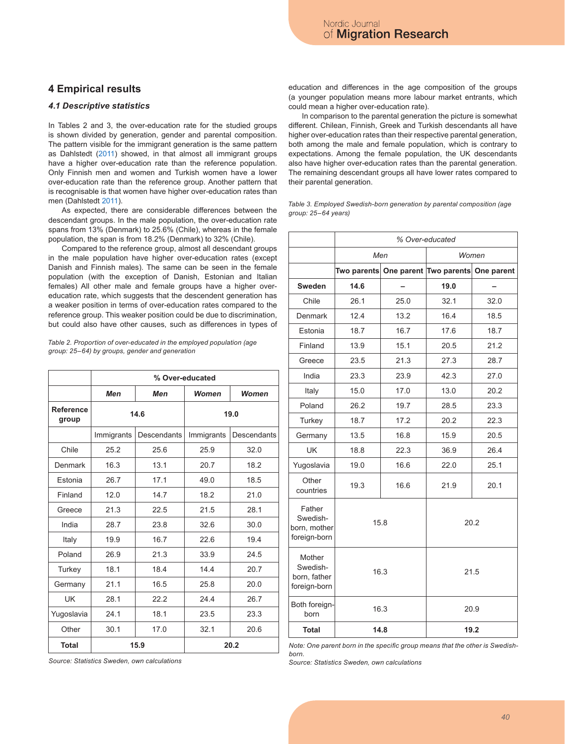### **4 Empirical results**

#### *4.1 Descriptive statistics*

In Tables 2 and 3, the over-education rate for the studied groups is shown divided by generation, gender and parental composition. The pattern visible for the immigrant generation is the same pattern as Dahlstedt (2011) showed, in that almost all immigrant groups have a higher over-education rate than the reference population. Only Finnish men and women and Turkish women have a lower over-education rate than the reference group. Another pattern that is recognisable is that women have higher over-education rates than men (Dahlstedt 2011).

As expected, there are considerable differences between the descendant groups. In the male population, the over-education rate spans from 13% (Denmark) to 25.6% (Chile), whereas in the female population, the span is from 18.2% (Denmark) to 32% (Chile).

Compared to the reference group, almost all descendant groups in the male population have higher over-education rates (except Danish and Finnish males). The same can be seen in the female population (with the exception of Danish, Estonian and Italian females) All other male and female groups have a higher overeducation rate, which suggests that the descendent generation has a weaker position in terms of over-education rates compared to the reference group. This weaker position could be due to discrimination, but could also have other causes, such as differences in types of

*Table 2. Proportion of over-educated in the employed population (age group: 25–64) by groups, gender and generation*

|                    | % Over-educated |             |            |             |
|--------------------|-----------------|-------------|------------|-------------|
|                    | Men             | Men         | Women      | Women       |
| Reference<br>group | 14.6            |             | 19.0       |             |
|                    | Immigrants      | Descendants | Immigrants | Descendants |
| Chile              | 25.2            | 25.6        | 25.9       | 32.0        |
| Denmark            | 16.3            | 13.1        | 20.7       | 18.2        |
| Estonia            | 26.7            | 17.1        | 49.0       | 18.5        |
| Finland            | 12.0            | 14.7        | 18.2       | 21.0        |
| Greece             | 21.3            | 22.5        | 21.5       | 28.1        |
| India              | 28.7            | 23.8        | 32.6       | 30.0        |
| Italy              | 19.9            | 16.7        | 22.6       | 19.4        |
| Poland             | 26.9            | 21.3        | 33.9       | 24.5        |
| Turkey             | 18.1            | 18.4        | 14.4       | 20.7        |
| Germany            | 21.1            | 16.5        | 25.8       | 20.0        |
| UK                 | 28.1            | 22.2        | 24.4       | 26.7        |
| Yugoslavia         | 24.1            | 18.1        | 23.5       | 23.3        |
| Other              | 30.1            | 17.0        | 32.1       | 20.6        |
| <b>Total</b>       | 15.9            |             |            | 20.2        |

*Source: Statistics Sweden, own calculations*

education and differences in the age composition of the groups (a younger population means more labour market entrants, which could mean a higher over-education rate).

In comparison to the parental generation the picture is somewhat different. Chilean, Finnish, Greek and Turkish descendants all have higher over-education rates than their respective parental generation, both among the male and female population, which is contrary to expectations. Among the female population, the UK descendants also have higher over-education rates than the parental generation. The remaining descendant groups all have lower rates compared to their parental generation.

*Table 3. Employed Swedish-born generation by parental composition (age group: 25–64 years)*

|                                                    | % Over-educated |      |                                               |      |
|----------------------------------------------------|-----------------|------|-----------------------------------------------|------|
|                                                    | Men             |      | Women                                         |      |
|                                                    |                 |      | Two parents One parent Two parents One parent |      |
| Sweden                                             | 14.6            |      | 19.0                                          |      |
| Chile                                              | 26.1            | 25.0 | 32.1                                          | 32.0 |
| Denmark                                            | 12.4            | 13.2 | 16.4                                          | 18.5 |
| Estonia                                            | 18.7            | 16.7 | 17.6                                          | 18.7 |
| Finland                                            | 13.9            | 15.1 | 20.5                                          | 21.2 |
| Greece                                             | 23.5            | 21.3 | 27.3                                          | 28.7 |
| India                                              | 23.3            | 23.9 | 42.3                                          | 27.0 |
| Italy                                              | 15.0            | 17.0 | 13.0                                          | 20.2 |
| Poland                                             | 26.2            | 19.7 | 28.5                                          | 23.3 |
| Turkey                                             | 18.7            | 17.2 | 20.2                                          | 22.3 |
| Germany                                            | 13.5            | 16.8 | 15.9                                          | 20.5 |
| UK                                                 | 18.8            | 22.3 | 36.9                                          | 26.4 |
| Yugoslavia                                         | 19.0            | 16.6 | 22.0                                          | 25.1 |
| Other<br>countries                                 | 19.3            | 16.6 | 21.9                                          | 20.1 |
| Father<br>Swedish-<br>born, mother<br>foreign-born | 15.8            |      |                                               | 20.2 |
| Mother<br>Swedish-<br>born, father<br>foreign-born | 16.3            |      |                                               | 21.5 |
| Both foreign-<br>born                              | 16.3            |      | 20.9                                          |      |
| Total                                              | 14.8            |      | 19.2                                          |      |

*Note: One parent born in the specific group means that the other is Swedishborn.*

*Source: Statistics Sweden, own calculations*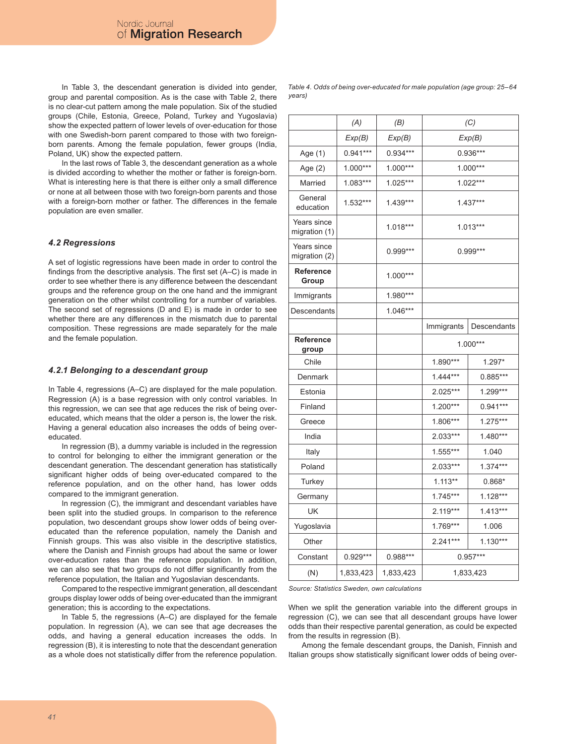In Table 3, the descendant generation is divided into gender, group and parental composition. As is the case with Table 2, there is no clear-cut pattern among the male population. Six of the studied groups (Chile, Estonia, Greece, Poland, Turkey and Yugoslavia) show the expected pattern of lower levels of over-education for those with one Swedish-born parent compared to those with two foreignborn parents. Among the female population, fewer groups (India, Poland, UK) show the expected pattern.

In the last rows of Table 3, the descendant generation as a whole is divided according to whether the mother or father is foreign-born. What is interesting here is that there is either only a small difference or none at all between those with two foreign-born parents and those with a foreign-born mother or father. The differences in the female population are even smaller.

#### *4.2 Regressions*

A set of logistic regressions have been made in order to control the findings from the descriptive analysis. The first set (A–C) is made in order to see whether there is any difference between the descendant groups and the reference group on the one hand and the immigrant generation on the other whilst controlling for a number of variables. The second set of regressions (D and E) is made in order to see whether there are any differences in the mismatch due to parental composition. These regressions are made separately for the male and the female population.

#### *4.2.1 Belonging to a descendant group*

In Table 4, regressions (A–C) are displayed for the male population. Regression (A) is a base regression with only control variables. In this regression, we can see that age reduces the risk of being overeducated, which means that the older a person is, the lower the risk. Having a general education also increases the odds of being overeducated.

In regression (B), a dummy variable is included in the regression to control for belonging to either the immigrant generation or the descendant generation. The descendant generation has statistically significant higher odds of being over-educated compared to the reference population, and on the other hand, has lower odds compared to the immigrant generation.

In regression (C), the immigrant and descendant variables have been split into the studied groups. In comparison to the reference population, two descendant groups show lower odds of being overeducated than the reference population, namely the Danish and Finnish groups. This was also visible in the descriptive statistics, where the Danish and Finnish groups had about the same or lower over-education rates than the reference population. In addition, we can also see that two groups do not differ significantly from the reference population, the Italian and Yugoslavian descendants.

Compared to the respective immigrant generation, all descendant groups display lower odds of being over-educated than the immigrant generation; this is according to the expectations.

In Table 5, the regressions (A–C) are displayed for the female population. In regression (A), we can see that age decreases the odds, and having a general education increases the odds. In regression (B), it is interesting to note that the descendant generation as a whole does not statistically differ from the reference population.

*Table 4. Odds of being over-educated for male population (age group: 25–64 years)*

|                              | (A)        | (B)        | (C)        |             |
|------------------------------|------------|------------|------------|-------------|
|                              | Exp(B)     | Exp(B)     | Exp(B)     |             |
| Age (1)                      | $0.941***$ | 0.934***   | $0.936***$ |             |
| Age (2)                      | 1.000***   | $1.000***$ | 1.000***   |             |
| Married                      | 1.083***   | 1.025***   |            | 1.022***    |
| General<br>education         | 1.532***   | $1.439***$ | $1.437***$ |             |
| Years since<br>migration (1) |            | 1.018***   |            | $1.013***$  |
| Years since<br>migration (2) |            | 0.999***   |            | $0.999***$  |
| Reference<br>Group           |            | 1.000***   |            |             |
| Immigrants                   |            | 1.980***   |            |             |
| Descendants                  |            | 1.046***   |            |             |
|                              |            |            | Immigrants | Descendants |
| Reference<br>group           |            |            | 1.000***   |             |
| Chile                        |            |            | 1.890***   | $1.297*$    |
| Denmark                      |            |            | $1.444***$ | $0.885***$  |
| Estonia                      |            |            | 2.025***   | 1.299***    |
| Finland                      |            |            | 1.200***   | $0.941***$  |
| Greece                       |            |            | 1.806***   | 1.275***    |
| India                        |            |            | 2.033***   | $1.480***$  |
| Italy                        |            |            | 1.555***   | 1.040       |
| Poland                       |            |            | 2.033***   | $1.374***$  |
| Turkey                       |            |            | $1.113**$  | $0.868*$    |
| Germany                      |            |            | $1.745***$ | 1.128***    |
| UK                           |            |            | 2.119***   | $1.413***$  |
| Yugoslavia                   |            |            | 1.769***   | 1.006       |
| Other                        |            |            | 2.241***   | $1.130***$  |
| Constant                     | 0.929***   | 0.988***   | $0.957***$ |             |
| (N)                          | 1,833,423  | 1,833,423  | 1,833,423  |             |

*Source: Statistics Sweden, own calculations*

When we split the generation variable into the different groups in regression (C), we can see that all descendant groups have lower odds than their respective parental generation, as could be expected from the results in regression (B).

Among the female descendant groups, the Danish, Finnish and Italian groups show statistically significant lower odds of being over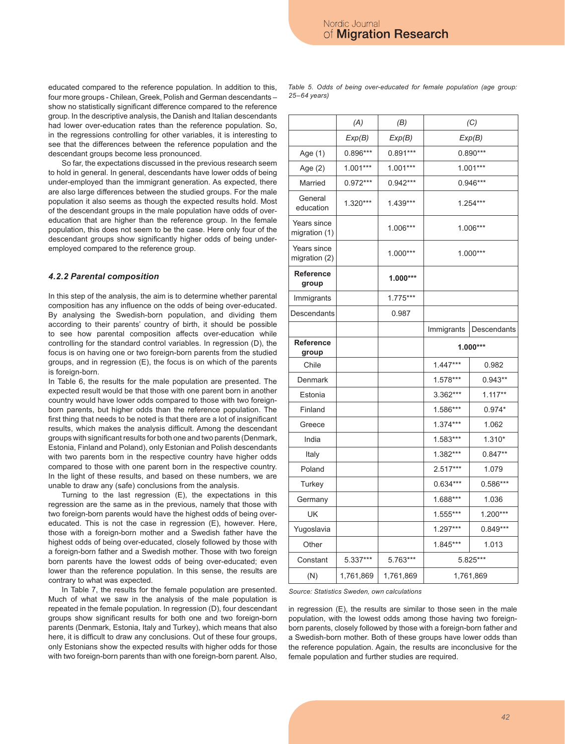educated compared to the reference population. In addition to this, four more groups - Chilean, Greek, Polish and German descendants – show no statistically significant difference compared to the reference group. In the descriptive analysis, the Danish and Italian descendants had lower over-education rates than the reference population. So, in the regressions controlling for other variables, it is interesting to see that the differences between the reference population and the descendant groups become less pronounced.

So far, the expectations discussed in the previous research seem to hold in general. In general, descendants have lower odds of being under-employed than the immigrant generation. As expected, there are also large differences between the studied groups. For the male population it also seems as though the expected results hold. Most of the descendant groups in the male population have odds of overeducation that are higher than the reference group. In the female population, this does not seem to be the case. Here only four of the descendant groups show significantly higher odds of being underemployed compared to the reference group.

#### *4.2.2 Parental composition*

In this step of the analysis, the aim is to determine whether parental composition has any influence on the odds of being over-educated. By analysing the Swedish-born population, and dividing them according to their parents' country of birth, it should be possible to see how parental composition affects over-education while controlling for the standard control variables. In regression (D), the focus is on having one or two foreign-born parents from the studied groups, and in regression (E), the focus is on which of the parents is foreign-born.

In Table 6, the results for the male population are presented. The expected result would be that those with one parent born in another country would have lower odds compared to those with two foreignborn parents, but higher odds than the reference population. The first thing that needs to be noted is that there are a lot of insignificant results, which makes the analysis difficult. Among the descendant groups with significant results for both one and two parents (Denmark, Estonia, Finland and Poland), only Estonian and Polish descendants with two parents born in the respective country have higher odds compared to those with one parent born in the respective country. In the light of these results, and based on these numbers, we are unable to draw any (safe) conclusions from the analysis.

Turning to the last regression (E), the expectations in this regression are the same as in the previous, namely that those with two foreign-born parents would have the highest odds of being overeducated. This is not the case in regression (E), however. Here, those with a foreign-born mother and a Swedish father have the highest odds of being over-educated, closely followed by those with a foreign-born father and a Swedish mother. Those with two foreign born parents have the lowest odds of being over-educated; even lower than the reference population. In this sense, the results are contrary to what was expected.

In Table 7, the results for the female population are presented. Much of what we saw in the analysis of the male population is repeated in the female population. In regression (D), four descendant groups show significant results for both one and two foreign-born parents (Denmark, Estonia, Italy and Turkey), which means that also here, it is difficult to draw any conclusions. Out of these four groups, only Estonians show the expected results with higher odds for those with two foreign-born parents than with one foreign-born parent. Also,

*Table 5. Odds of being over-educated for female population (age group: 25–64 years)*

|                              | (A)        | (B)        |            | (C)         |
|------------------------------|------------|------------|------------|-------------|
|                              | Exp(B)     | Exp(B)     | Exp(B)     |             |
| Age (1)                      | $0.896***$ | $0.891***$ | $0.890***$ |             |
| Age (2)                      | $1.001***$ | $1.001***$ | $1.001***$ |             |
| Married                      | $0.972***$ | $0.942***$ |            | 0.946***    |
| General<br>education         | 1.320***   | 1.439***   | 1.254***   |             |
| Years since<br>migration (1) |            | 1.006***   | 1.006***   |             |
| Years since<br>migration (2) |            | 1.000***   | $1.000***$ |             |
| Reference<br>group           |            | $1.000***$ |            |             |
| Immigrants                   |            | 1.775***   |            |             |
| Descendants                  |            | 0.987      |            |             |
|                              |            |            | Immigrants | Descendants |
| Reference<br>group           |            |            | $1.000***$ |             |
| Chile                        |            |            | $1.447***$ | 0.982       |
| Denmark                      |            |            | 1.578***   | $0.943**$   |
| Estonia                      |            |            | 3.362***   | $1.117**$   |
| Finland                      |            |            | 1.586***   | $0.974*$    |
| Greece                       |            |            | $1.374***$ | 1.062       |
| India                        |            |            | 1.583***   | $1.310*$    |
| Italy                        |            |            | 1.382***   | $0.847**$   |
| Poland                       |            |            | $2.517***$ | 1.079       |
| Turkey                       |            |            | 0.634***   | $0.586***$  |
| Germany                      |            |            | 1.688***   | 1.036       |
| UK                           |            |            | 1.555***   | 1.200***    |
| Yugoslavia                   |            |            | 1.297***   | $0.849***$  |
| Other                        |            |            | 1.845***   | 1.013       |
| Constant                     | 5.337***   | 5.763***   | 5.825***   |             |
| (N)                          | 1,761,869  | 1,761,869  | 1,761,869  |             |

*Source: Statistics Sweden, own calculations*

in regression (E), the results are similar to those seen in the male population, with the lowest odds among those having two foreignborn parents, closely followed by those with a foreign-born father and a Swedish-born mother. Both of these groups have lower odds than the reference population. Again, the results are inconclusive for the female population and further studies are required.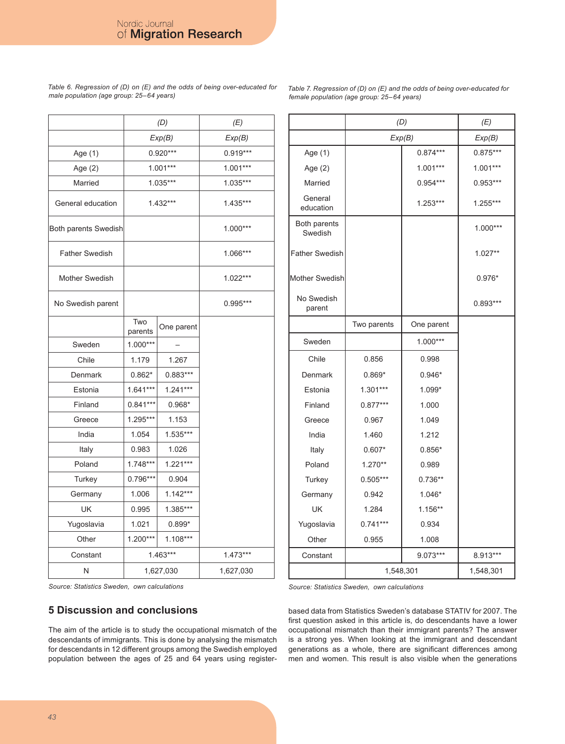*Table 6. Regression of (D) on (E) and the odds of being over-educated for male population (age group: 25–64 years)*

*Table 7. Regression of (D) on (E) and the odds of being over-educated for female population (age group: 25–64 years)*

|                       |                | (D)        | (E)        |
|-----------------------|----------------|------------|------------|
|                       |                | Exp(B)     | Exp(B)     |
| Age (1)               |                | $0.920***$ | $0.919***$ |
| Age (2)               |                | $1.001***$ | $1.001***$ |
| Married               |                | $1.035***$ | 1.035***   |
|                       |                |            |            |
| General education     |                | 1.432***   | 1.435***   |
| Both parents Swedish  |                |            | $1.000***$ |
| <b>Father Swedish</b> |                |            | 1.066***   |
| Mother Swedish        |                |            | 1.022***   |
| No Swedish parent     |                |            | 0.995***   |
|                       | Two<br>parents | One parent |            |
| Sweden                | $1.000***$     |            |            |
| Chile                 | 1.179          | 1.267      |            |
| Denmark               | $0.862*$       | 0.883***   |            |
| Estonia               | $1.641***$     | $1.241***$ |            |
| Finland               | $0.841***$     | $0.968*$   |            |
| Greece                | 1.295***       | 1.153      |            |
| India                 | 1.054          | 1.535***   |            |
| Italy                 | 0.983          | 1.026      |            |
| Poland                | $1.748***$     | $1.221***$ |            |
| Turkey                | $0.796***$     |            |            |
| Germany               | 1.006          | $1.142***$ |            |
| UK                    | 0.995          | 1.385***   |            |
| Yugoslavia            | 1.021          | $0.899*$   |            |
| Other                 | $1.200***$     | $1.108***$ |            |
| Constant              | $1.463***$     |            | $1.473***$ |
| Ν                     | 1,627,030      |            | 1,627,030  |
|                       |                |            |            |

|                         | (D)         | (E)        |            |
|-------------------------|-------------|------------|------------|
|                         | Exp(B)      |            | Exp(B)     |
| Age (1)                 |             | $0.874***$ | $0.875***$ |
| Age (2)                 |             | $1.001***$ | $1.001***$ |
| Married                 |             | $0.954***$ | $0.953***$ |
| General<br>education    |             | $1.253***$ | 1.255***   |
| Both parents<br>Swedish |             |            | 1.000***   |
| <b>Father Swedish</b>   |             |            | $1.027**$  |
| Mother Swedish          |             |            | $0.976*$   |
| No Swedish<br>parent    |             |            | 0.893***   |
|                         | Two parents | One parent |            |
| Sweden                  |             | $1.000***$ |            |
| Chile                   | 0.856       | 0.998      |            |
| Denmark                 | $0.869*$    | $0.946*$   |            |
| Estonia                 | $1.301***$  | 1.099*     |            |
| Finland                 | $0.877***$  | 1.000      |            |
| Greece                  | 0.967       | 1.049      |            |
| India                   | 1.460       | 1.212      |            |
| Italy                   | $0.607*$    | $0.856*$   |            |
| Poland                  | 1.270**     | 0.989      |            |
| Turkey                  | $0.505***$  | $0.736**$  |            |
| Germany                 | 0.942       | $1.046*$   |            |
| UK                      | 1.284       | 1.156**    |            |
| Yugoslavia              | $0.741***$  | 0.934      |            |
| Other                   | 0.955       | 1.008      |            |
| Constant                |             | 9.073***   | 8.913***   |
|                         | 1,548,301   |            | 1,548,301  |

*Source: Statistics Sweden, own calculations*

### **5 Discussion and conclusions**

The aim of the article is to study the occupational mismatch of the descendants of immigrants. This is done by analysing the mismatch for descendants in 12 different groups among the Swedish employed population between the ages of 25 and 64 years using register*Source: Statistics Sweden, own calculations*

based data from Statistics Sweden's database STATIV for 2007. The first question asked in this article is, do descendants have a lower occupational mismatch than their immigrant parents? The answer is a strong yes. When looking at the immigrant and descendant generations as a whole, there are significant differences among men and women. This result is also visible when the generations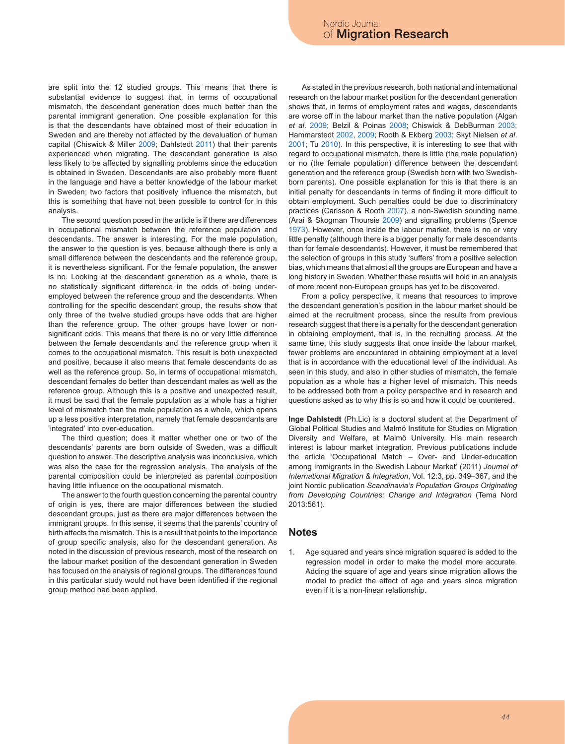are split into the 12 studied groups. This means that there is substantial evidence to suggest that, in terms of occupational mismatch, the descendant generation does much better than the parental immigrant generation. One possible explanation for this is that the descendants have obtained most of their education in Sweden and are thereby not affected by the devaluation of human capital (Chiswick & Miller 2009; Dahlstedt 2011) that their parents experienced when migrating. The descendant generation is also less likely to be affected by signalling problems since the education is obtained in Sweden. Descendants are also probably more fluent in the language and have a better knowledge of the labour market in Sweden; two factors that positively influence the mismatch, but this is something that have not been possible to control for in this analysis.

The second question posed in the article is if there are differences in occupational mismatch between the reference population and descendants. The answer is interesting. For the male population, the answer to the question is yes, because although there is only a small difference between the descendants and the reference group, it is nevertheless significant. For the female population, the answer is no. Looking at the descendant generation as a whole, there is no statistically significant difference in the odds of being underemployed between the reference group and the descendants. When controlling for the specific descendant group, the results show that only three of the twelve studied groups have odds that are higher than the reference group. The other groups have lower or nonsignificant odds. This means that there is no or very little difference between the female descendants and the reference group when it comes to the occupational mismatch. This result is both unexpected and positive, because it also means that female descendants do as well as the reference group. So, in terms of occupational mismatch, descendant females do better than descendant males as well as the reference group. Although this is a positive and unexpected result, it must be said that the female population as a whole has a higher level of mismatch than the male population as a whole, which opens up a less positive interpretation, namely that female descendants are 'integrated' into over-education.

The third question; does it matter whether one or two of the descendants' parents are born outside of Sweden, was a difficult question to answer. The descriptive analysis was inconclusive, which was also the case for the regression analysis. The analysis of the parental composition could be interpreted as parental composition having little influence on the occupational mismatch.

The answer to the fourth question concerning the parental country of origin is yes, there are major differences between the studied descendant groups, just as there are major differences between the immigrant groups. In this sense, it seems that the parents' country of birth affects the mismatch. This is a result that points to the importance of group specific analysis, also for the descendant generation. As noted in the discussion of previous research, most of the research on the labour market position of the descendant generation in Sweden has focused on the analysis of regional groups. The differences found in this particular study would not have been identified if the regional group method had been applied.

As stated in the previous research, both national and international research on the labour market position for the descendant generation shows that, in terms of employment rates and wages, descendants are worse off in the labour market than the native population (Algan *et al*. 2009; Belzil & Poinas 2008; Chiswick & DebBurman 2003; Hammarstedt 2002, 2009; Rooth & Ekberg 2003; Skyt Nielsen *et al*. 2001; Tu 2010). In this perspective, it is interesting to see that with regard to occupational mismatch, there is little (the male population) or no (the female population) difference between the descendant generation and the reference group (Swedish born with two Swedishborn parents). One possible explanation for this is that there is an initial penalty for descendants in terms of finding it more difficult to obtain employment. Such penalties could be due to discriminatory practices (Carlsson & Rooth 2007), a non-Swedish sounding name (Arai & Skogman Thoursie 2009) and signalling problems (Spence 1973). However, once inside the labour market, there is no or very little penalty (although there is a bigger penalty for male descendants than for female descendants). However, it must be remembered that the selection of groups in this study 'suffers' from a positive selection bias, which means that almost all the groups are European and have a long history in Sweden. Whether these results will hold in an analysis of more recent non-European groups has yet to be discovered.

From a policy perspective, it means that resources to improve the descendant generation's position in the labour market should be aimed at the recruitment process, since the results from previous research suggest that there is a penalty for the descendant generation in obtaining employment, that is, in the recruiting process. At the same time, this study suggests that once inside the labour market, fewer problems are encountered in obtaining employment at a level that is in accordance with the educational level of the individual. As seen in this study, and also in other studies of mismatch, the female population as a whole has a higher level of mismatch. This needs to be addressed both from a policy perspective and in research and questions asked as to why this is so and how it could be countered.

**Inge Dahlstedt** (Ph.Lic) is a doctoral student at the Department of Global Political Studies and Malmö Institute for Studies on Migration Diversity and Welfare, at Malmö University. His main research interest is labour market integration. Previous publications include the article 'Occupational Match – Over- and Under-education among Immigrants in the Swedish Labour Market' (2011) *Journal of International Migration & Integration*, Vol. 12:3, pp. 349–367, and the joint Nordic publication *Scandinavia's Population Groups Originating from Developing Countries: Change and Integration* (Tema Nord 2013:561).

#### **Notes**

Age squared and years since migration squared is added to the regression model in order to make the model more accurate. Adding the square of age and years since migration allows the model to predict the effect of age and years since migration even if it is a non-linear relationship.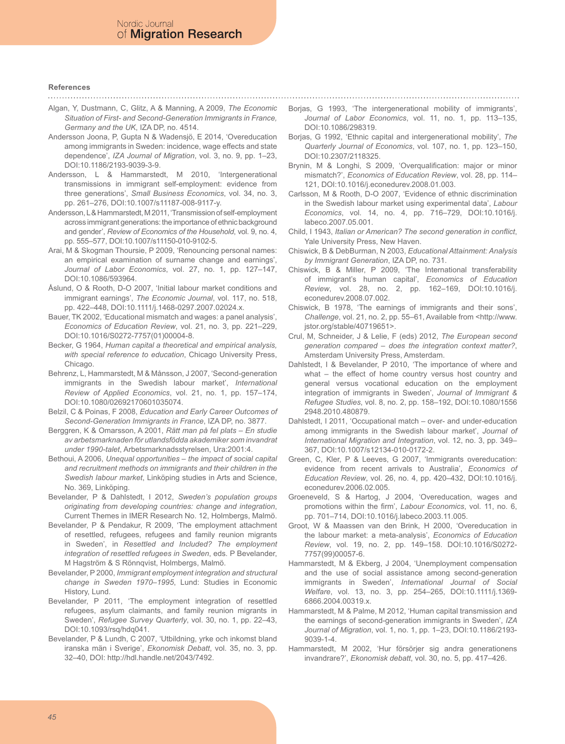## **References**

Algan, Y, Dustmann, C, Glitz, A & Manning, A 2009, *The Economic Situation of First- and Second-Generation Immigrants in France, Germany and the UK*, IZA DP, no. 4514.

- Andersson Joona, P, Gupta N & Wadensjö, E 2014, 'Overeducation among immigrants in Sweden: incidence, wage effects and state dependence', *IZA Journal of Migration*, vol. 3, no. 9, pp. 1–23, DOI:10.1186/2193-9039-3-9.
- Andersson, L & Hammarstedt, M 2010, 'Intergenerational transmissions in immigrant self-employment: evidence from three generations', *Small Business Economics*, vol. 34, no. 3, pp. 261–276, DOI:10.1007/s11187-008-9117-y.
- Andersson, L & Hammarstedt, M 2011, 'Transmission of self-employment across immigrant generations: the importance of ethnic background and gender', *Review of Economics of the Household*, vol. 9, no. 4, pp. 555–577, DOI:10.1007/s11150-010-9102-5.
- Arai, M & Skogman Thoursie, P 2009, 'Renouncing personal names: an empirical examination of surname change and earnings', *Journal of Labor Economics*, vol. 27, no. 1, pp. 127–147, DOI:10.1086/593964.
- Åslund, O & Rooth, D-O 2007, 'Initial labour market conditions and immigrant earnings', *The Economic Journal*, vol. 117, no. 518, pp. 422–448, DOI:10.1111/j.1468-0297.2007.02024.x.
- Bauer, TK 2002, 'Educational mismatch and wages: a panel analysis', *Economics of Education Review*, vol. 21, no. 3, pp. 221–229, DOI:10.1016/S0272-7757(01)00004-8.
- Becker, G 1964, *Human capital a theoretical and empirical analysis, with special reference to education*, Chicago University Press, Chicago.
- Behrenz, L, Hammarstedt, M & Månsson, J 2007, 'Second-generation immigrants in the Swedish labour market', *International Review of Applied Economics*, vol. 21, no. 1, pp. 157–174, DOI:10.1080/02692170601035074.
- Belzil, C & Poinas, F 2008, *Education and Early Career Outcomes of Second-Generation Immigrants in France*, IZA DP, no. 3877.
- Berggren, K & Omarsson, A 2001, *Rätt man på fel plats En studie av arbetsmarknaden för utlandsfödda akademiker som invandrat under 1990-talet*, Arbetsmarknadsstyrelsen, Ura:2001:4.
- Bethoui, A 2006, *Unequal opportunities the impact of social capital and recruitment methods on immigrants and their children in the Swedish labour market*, Linköping studies in Arts and Science, No. 369, Linköping.
- Bevelander, P & Dahlstedt, I 2012, *Sweden's population groups originating from developing countries: change and integration*, Current Themes in IMER Research No. 12, Holmbergs, Malmö.
- Bevelander, P & Pendakur, R 2009, 'The employment attachment of resettled, refugees, refugees and family reunion migrants in Sweden', in *Resettled and Included? The employment integration of resettled refugees in Sweden*, eds. P Bevelander, M Hagström & S Rönnqvist, Holmbergs, Malmö.
- Bevelander, P 2000, *Immigrant employment integration and structural change in Sweden 1970–1995*, Lund: Studies in Economic History, Lund.
- Bevelander, P 2011, 'The employment integration of resettled refugees, asylum claimants, and family reunion migrants in Sweden', *Refugee Survey Quarterly*, vol. 30, no. 1, pp. 22–43, DOI:10.1093/rsq/hdq041.
- Bevelander, P & Lundh, C 2007, 'Utbildning, yrke och inkomst bland iranska män i Sverige', *Ekonomisk Debatt*, vol. 35, no. 3, pp. 32–40, DOI: http://hdl.handle.net/2043/7492.

Borjas, G 1993, 'The intergenerational mobility of immigrants', *Journal of Labor Economics*, vol. 11, no. 1, pp. 113–135, DOI:10.1086/298319.

- Borjas, G 1992, 'Ethnic capital and intergenerational mobility', *The Quarterly Journal of Economics*, vol. 107, no. 1, pp. 123–150, DOI:10.2307/2118325.
- Brynin, M & Longhi, S 2009, 'Overqualification: major or minor mismatch?', *Economics of Education Review*, vol. 28, pp. 114– 121, DOI:10.1016/j.econedurev.2008.01.003.
- Carlsson, M & Rooth, D-O 2007, 'Evidence of ethnic discrimination in the Swedish labour market using experimental data', *Labour Economics*, vol. 14, no. 4, pp. 716–729, DOI:10.1016/j. labeco.2007.05.001.
- Child, I 1943, *Italian or American? The second generation in conflict*, Yale University Press, New Haven.
- Chiswick, B & DebBurman, N 2003, *Educational Attainment: Analysis by Immigrant Generation*, IZA DP, no. 731.
- Chiswick, B & Miller, P 2009, 'The International transferability of immigrant's human capital', *Economics of Education Review*, vol. 28, no. 2, pp. 162–169, DOI:10.1016/j. econedurev.2008.07.002.
- Chiswick, B 1978, 'The earnings of immigrants and their sons', *Challenge*, vol. 21, no. 2, pp. 55–61, Available from <http://www. jstor.org/stable/40719651>.
- Crul, M, Schneider, J & Lelie, F (eds) 2012, *The European second generation compared – does the integration context matter?*, Amsterdam University Press, Amsterdam.
- Dahlstedt, I & Bevelander, P 2010, 'The importance of where and what – the effect of home country versus host country and general versus vocational education on the employment integration of immigrants in Sweden', *Journal of Immigrant & Refugee Studies*, vol. 8, no. 2, pp. 158–192, DOI:10.1080/1556 2948.2010.480879.
- Dahlstedt, I 2011, 'Occupational match over- and under-education among immigrants in the Swedish labour market', *Journal of International Migration and Integration*, vol. 12, no. 3, pp. 349– 367, DOI:10.1007/s12134-010-0172-2.
- Green, C, Kler, P & Leeves, G 2007, 'Immigrants overeducation: evidence from recent arrivals to Australia', *Economics of Education Review*, vol. 26, no. 4, pp. 420–432, DOI:10.1016/j. econedurev.2006.02.005.
- Groeneveld, S & Hartog, J 2004, 'Overeducation, wages and promotions within the firm', *Labour Economics*, vol. 11, no. 6, pp. 701–714, DOI:10.1016/j.labeco.2003.11.005.
- Groot, W & Maassen van den Brink, H 2000, 'Overeducation in the labour market: a meta-analysis', *Economics of Education Review*, vol. 19, no. 2, pp. 149–158. DOI:10.1016/S0272- 7757(99)00057-6.
- Hammarstedt, M & Ekberg, J 2004, 'Unemployment compensation and the use of social assistance among second-generation immigrants in Sweden', *International Journal of Social Welfare*, vol. 13, no. 3, pp. 254–265, DOI:10.1111/j.1369- 6866.2004.00319.x.
- Hammarstedt, M & Palme, M 2012, 'Human capital transmission and the earnings of second-generation immigrants in Sweden', *IZA Journal of Migration*, vol. 1, no. 1, pp. 1–23, DOI:10.1186/2193- 9039-1-4.
- Hammarstedt, M 2002, 'Hur försörjer sig andra generationens invandrare?', *Ekonomisk debatt*, vol. 30, no. 5, pp. 417–426.